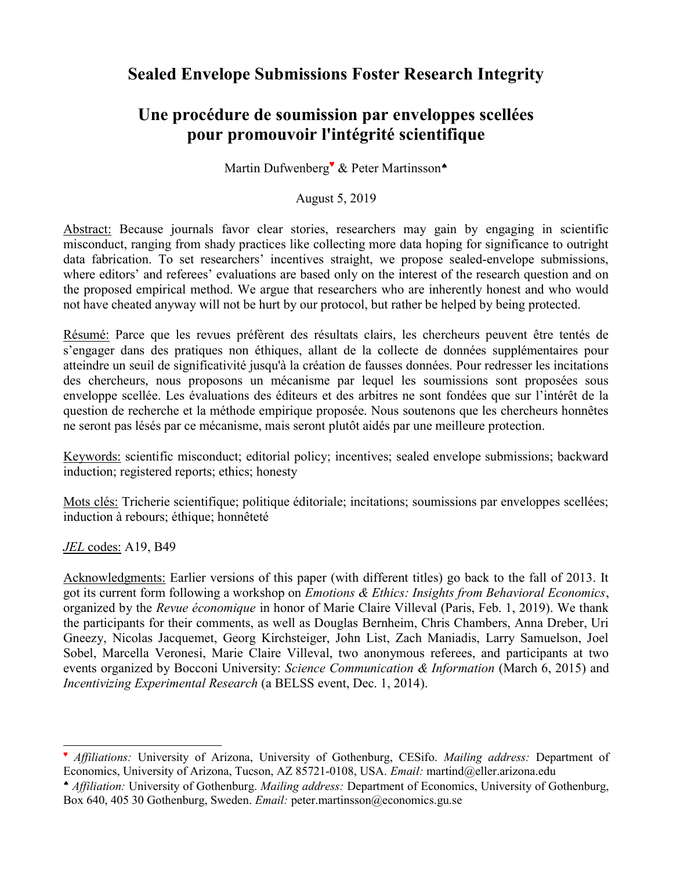# Sealed Envelope Submissions Foster Research Integrity

# Une procédure de soumission par enveloppes scellées pour promouvoir l'intégrité scientifique

Martin Dufwenberg<sup>v</sup> & Peter Martinsson<sup>\*</sup>

### August 5, 2019

Abstract: Because journals favor clear stories, researchers may gain by engaging in scientific misconduct, ranging from shady practices like collecting more data hoping for significance to outright data fabrication. To set researchers' incentives straight, we propose sealed-envelope submissions, where editors' and referees' evaluations are based only on the interest of the research question and on the proposed empirical method. We argue that researchers who are inherently honest and who would not have cheated anyway will not be hurt by our protocol, but rather be helped by being protected.

Résumé: Parce que les revues préfèrent des résultats clairs, les chercheurs peuvent être tentés de s'engager dans des pratiques non éthiques, allant de la collecte de données supplémentaires pour atteindre un seuil de significativité jusqu'à la création de fausses données. Pour redresser les incitations des chercheurs, nous proposons un mécanisme par lequel les soumissions sont proposées sous enveloppe scellée. Les évaluations des éditeurs et des arbitres ne sont fondées que sur l'intérêt de la question de recherche et la méthode empirique proposée. Nous soutenons que les chercheurs honnêtes ne seront pas lésés par ce mécanisme, mais seront plutôt aidés par une meilleure protection.

Keywords: scientific misconduct; editorial policy; incentives; sealed envelope submissions; backward induction; registered reports; ethics; honesty

Mots clés: Tricherie scientifique; politique éditoriale; incitations; soumissions par enveloppes scellées; induction à rebours; éthique; honnêteté

JEL codes: A19, B49

-

Acknowledgments: Earlier versions of this paper (with different titles) go back to the fall of 2013. It got its current form following a workshop on Emotions & Ethics: Insights from Behavioral Economics, organized by the Revue économique in honor of Marie Claire Villeval (Paris, Feb. 1, 2019). We thank the participants for their comments, as well as Douglas Bernheim, Chris Chambers, Anna Dreber, Uri Gneezy, Nicolas Jacquemet, Georg Kirchsteiger, John List, Zach Maniadis, Larry Samuelson, Joel Sobel, Marcella Veronesi, Marie Claire Villeval, two anonymous referees, and participants at two events organized by Bocconi University: Science Communication & Information (March 6, 2015) and Incentivizing Experimental Research (a BELSS event, Dec. 1, 2014).

<sup>♥</sup> Affiliations: University of Arizona, University of Gothenburg, CESifo. Mailing address: Department of Economics, University of Arizona, Tucson, AZ 85721-0108, USA. Email: martind@eller.arizona.edu

Affiliation: University of Gothenburg. Mailing address: Department of Economics, University of Gothenburg, Box 640, 405 30 Gothenburg, Sweden. Email: peter.martinsson@economics.gu.se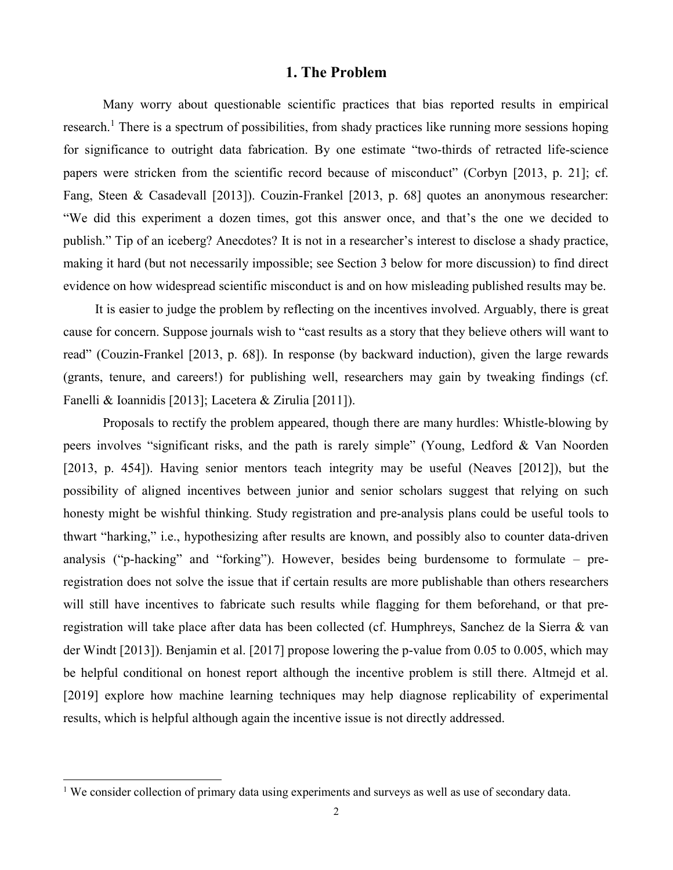#### 1. The Problem

Many worry about questionable scientific practices that bias reported results in empirical research.<sup>1</sup> There is a spectrum of possibilities, from shady practices like running more sessions hoping for significance to outright data fabrication. By one estimate "two-thirds of retracted life-science papers were stricken from the scientific record because of misconduct" (Corbyn [2013, p. 21]; cf. Fang, Steen & Casadevall [2013]). Couzin-Frankel [2013, p. 68] quotes an anonymous researcher: "We did this experiment a dozen times, got this answer once, and that's the one we decided to publish." Tip of an iceberg? Anecdotes? It is not in a researcher's interest to disclose a shady practice, making it hard (but not necessarily impossible; see Section 3 below for more discussion) to find direct evidence on how widespread scientific misconduct is and on how misleading published results may be.

It is easier to judge the problem by reflecting on the incentives involved. Arguably, there is great cause for concern. Suppose journals wish to "cast results as a story that they believe others will want to read" (Couzin-Frankel [2013, p. 68]). In response (by backward induction), given the large rewards (grants, tenure, and careers!) for publishing well, researchers may gain by tweaking findings (cf. Fanelli & Ioannidis [2013]; Lacetera & Zirulia [2011]).

Proposals to rectify the problem appeared, though there are many hurdles: Whistle-blowing by peers involves "significant risks, and the path is rarely simple" (Young, Ledford & Van Noorden [2013, p. 454]). Having senior mentors teach integrity may be useful (Neaves [2012]), but the possibility of aligned incentives between junior and senior scholars suggest that relying on such honesty might be wishful thinking. Study registration and pre-analysis plans could be useful tools to thwart "harking," i.e., hypothesizing after results are known, and possibly also to counter data-driven analysis ("p-hacking" and "forking"). However, besides being burdensome to formulate – preregistration does not solve the issue that if certain results are more publishable than others researchers will still have incentives to fabricate such results while flagging for them beforehand, or that preregistration will take place after data has been collected (cf. Humphreys, Sanchez de la Sierra & van der Windt [2013]). Benjamin et al. [2017] propose lowering the p-value from 0.05 to 0.005, which may be helpful conditional on honest report although the incentive problem is still there. Altmejd et al. [2019] explore how machine learning techniques may help diagnose replicability of experimental results, which is helpful although again the incentive issue is not directly addressed.

The consider collection of primary data using experiments and surveys as well as use of secondary data.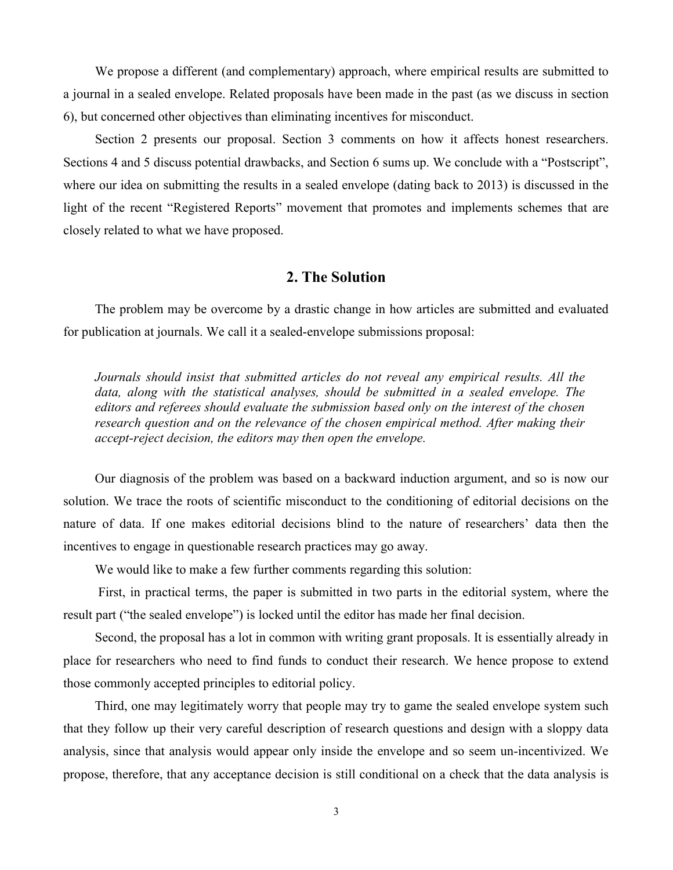We propose a different (and complementary) approach, where empirical results are submitted to a journal in a sealed envelope. Related proposals have been made in the past (as we discuss in section 6), but concerned other objectives than eliminating incentives for misconduct.

Section 2 presents our proposal. Section 3 comments on how it affects honest researchers. Sections 4 and 5 discuss potential drawbacks, and Section 6 sums up. We conclude with a "Postscript", where our idea on submitting the results in a sealed envelope (dating back to 2013) is discussed in the light of the recent "Registered Reports" movement that promotes and implements schemes that are closely related to what we have proposed.

#### 2. The Solution

The problem may be overcome by a drastic change in how articles are submitted and evaluated for publication at journals. We call it a sealed-envelope submissions proposal:

Journals should insist that submitted articles do not reveal any empirical results. All the data, along with the statistical analyses, should be submitted in a sealed envelope. The editors and referees should evaluate the submission based only on the interest of the chosen research question and on the relevance of the chosen empirical method. After making their accept-reject decision, the editors may then open the envelope.

Our diagnosis of the problem was based on a backward induction argument, and so is now our solution. We trace the roots of scientific misconduct to the conditioning of editorial decisions on the nature of data. If one makes editorial decisions blind to the nature of researchers' data then the incentives to engage in questionable research practices may go away.

We would like to make a few further comments regarding this solution:

 First, in practical terms, the paper is submitted in two parts in the editorial system, where the result part ("the sealed envelope") is locked until the editor has made her final decision.

Second, the proposal has a lot in common with writing grant proposals. It is essentially already in place for researchers who need to find funds to conduct their research. We hence propose to extend those commonly accepted principles to editorial policy.

Third, one may legitimately worry that people may try to game the sealed envelope system such that they follow up their very careful description of research questions and design with a sloppy data analysis, since that analysis would appear only inside the envelope and so seem un-incentivized. We propose, therefore, that any acceptance decision is still conditional on a check that the data analysis is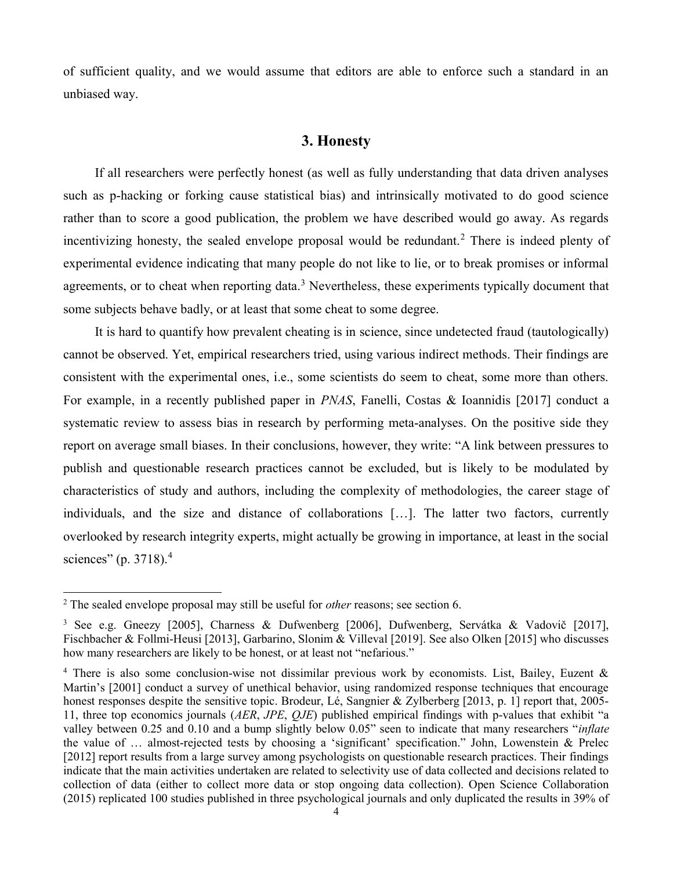of sufficient quality, and we would assume that editors are able to enforce such a standard in an unbiased way.

## 3. Honesty

If all researchers were perfectly honest (as well as fully understanding that data driven analyses such as p-hacking or forking cause statistical bias) and intrinsically motivated to do good science rather than to score a good publication, the problem we have described would go away. As regards incentivizing honesty, the sealed envelope proposal would be redundant.<sup>2</sup> There is indeed plenty of experimental evidence indicating that many people do not like to lie, or to break promises or informal agreements, or to cheat when reporting data.<sup>3</sup> Nevertheless, these experiments typically document that some subjects behave badly, or at least that some cheat to some degree.

It is hard to quantify how prevalent cheating is in science, since undetected fraud (tautologically) cannot be observed. Yet, empirical researchers tried, using various indirect methods. Their findings are consistent with the experimental ones, i.e., some scientists do seem to cheat, some more than others. For example, in a recently published paper in PNAS, Fanelli, Costas & Ioannidis [2017] conduct a systematic review to assess bias in research by performing meta-analyses. On the positive side they report on average small biases. In their conclusions, however, they write: "A link between pressures to publish and questionable research practices cannot be excluded, but is likely to be modulated by characteristics of study and authors, including the complexity of methodologies, the career stage of individuals, and the size and distance of collaborations […]. The latter two factors, currently overlooked by research integrity experts, might actually be growing in importance, at least in the social sciences" (p. 3718).<sup>4</sup>

-

 $2$  The sealed envelope proposal may still be useful for *other* reasons; see section 6.

<sup>3</sup> See e.g. Gneezy [2005], Charness & Dufwenberg [2006], Dufwenberg, Servátka & Vadovič [2017], Fischbacher & Follmi-Heusi [2013], Garbarino, Slonim & Villeval [2019]. See also Olken [2015] who discusses how many researchers are likely to be honest, or at least not "nefarious."

<sup>&</sup>lt;sup>4</sup> There is also some conclusion-wise not dissimilar previous work by economists. List, Bailey, Euzent & Martin's [2001] conduct a survey of unethical behavior, using randomized response techniques that encourage honest responses despite the sensitive topic. Brodeur, Lé, Sangnier & Zylberberg [2013, p. 1] report that, 2005-11, three top economics journals (AER, JPE, QJE) published empirical findings with p-values that exhibit "a valley between 0.25 and 0.10 and a bump slightly below 0.05" seen to indicate that many researchers "*inflate* the value of … almost-rejected tests by choosing a 'significant' specification." John, Lowenstein & Prelec [2012] report results from a large survey among psychologists on questionable research practices. Their findings indicate that the main activities undertaken are related to selectivity use of data collected and decisions related to collection of data (either to collect more data or stop ongoing data collection). Open Science Collaboration (2015) replicated 100 studies published in three psychological journals and only duplicated the results in 39% of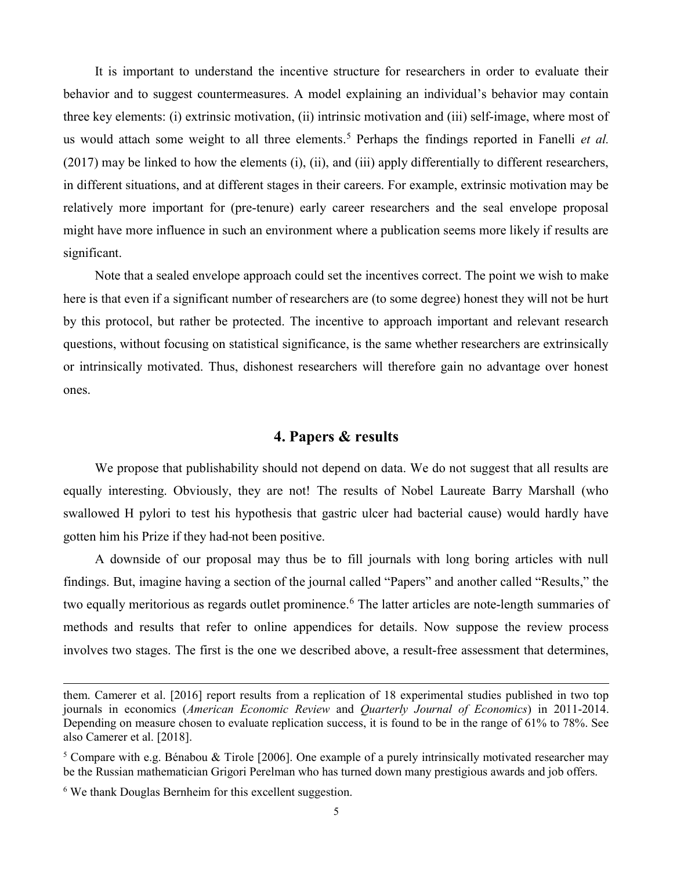It is important to understand the incentive structure for researchers in order to evaluate their behavior and to suggest countermeasures. A model explaining an individual's behavior may contain three key elements: (i) extrinsic motivation, (ii) intrinsic motivation and (iii) self-image, where most of us would attach some weight to all three elements.<sup>5</sup> Perhaps the findings reported in Fanelli et al. (2017) may be linked to how the elements (i), (ii), and (iii) apply differentially to different researchers, in different situations, and at different stages in their careers. For example, extrinsic motivation may be relatively more important for (pre-tenure) early career researchers and the seal envelope proposal might have more influence in such an environment where a publication seems more likely if results are significant.

Note that a sealed envelope approach could set the incentives correct. The point we wish to make here is that even if a significant number of researchers are (to some degree) honest they will not be hurt by this protocol, but rather be protected. The incentive to approach important and relevant research questions, without focusing on statistical significance, is the same whether researchers are extrinsically or intrinsically motivated. Thus, dishonest researchers will therefore gain no advantage over honest ones.

### 4. Papers & results

We propose that publishability should not depend on data. We do not suggest that all results are equally interesting. Obviously, they are not! The results of Nobel Laureate Barry Marshall (who swallowed H pylori to test his hypothesis that gastric ulcer had bacterial cause) would hardly have gotten him his Prize if they had not been positive.

A downside of our proposal may thus be to fill journals with long boring articles with null findings. But, imagine having a section of the journal called "Papers" and another called "Results," the two equally meritorious as regards outlet prominence.<sup>6</sup> The latter articles are note-length summaries of methods and results that refer to online appendices for details. Now suppose the review process involves two stages. The first is the one we described above, a result-free assessment that determines,

-

them. Camerer et al. [2016] report results from a replication of 18 experimental studies published in two top journals in economics (American Economic Review and Quarterly Journal of Economics) in 2011-2014. Depending on measure chosen to evaluate replication success, it is found to be in the range of 61% to 78%. See also Camerer et al. [2018].

<sup>&</sup>lt;sup>5</sup> Compare with e.g. Bénabou & Tirole [2006]. One example of a purely intrinsically motivated researcher may be the Russian mathematician Grigori Perelman who has turned down many prestigious awards and job offers.

<sup>6</sup> We thank Douglas Bernheim for this excellent suggestion.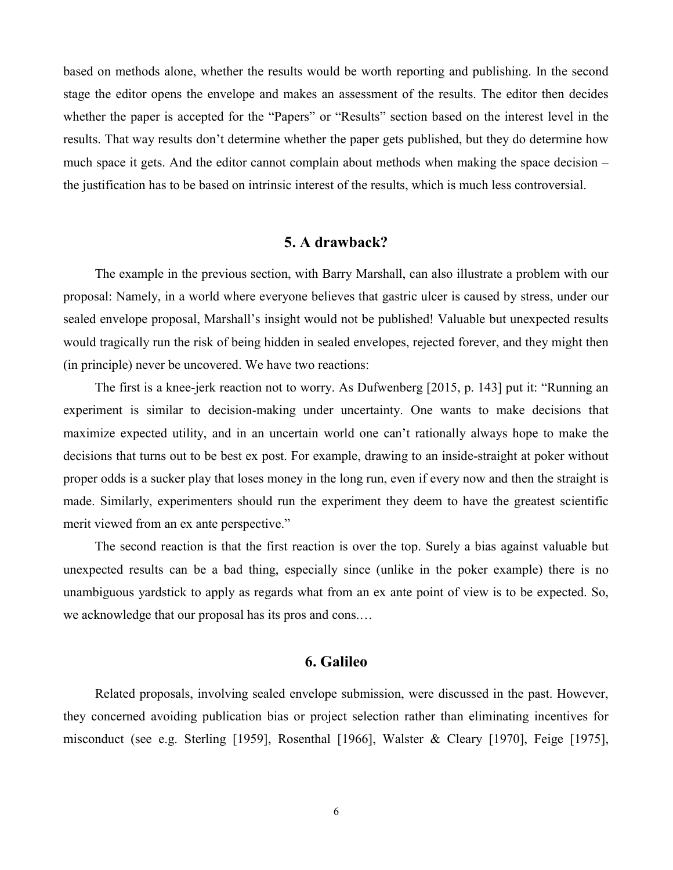based on methods alone, whether the results would be worth reporting and publishing. In the second stage the editor opens the envelope and makes an assessment of the results. The editor then decides whether the paper is accepted for the "Papers" or "Results" section based on the interest level in the results. That way results don't determine whether the paper gets published, but they do determine how much space it gets. And the editor cannot complain about methods when making the space decision – the justification has to be based on intrinsic interest of the results, which is much less controversial.

### 5. A drawback?

The example in the previous section, with Barry Marshall, can also illustrate a problem with our proposal: Namely, in a world where everyone believes that gastric ulcer is caused by stress, under our sealed envelope proposal, Marshall's insight would not be published! Valuable but unexpected results would tragically run the risk of being hidden in sealed envelopes, rejected forever, and they might then (in principle) never be uncovered. We have two reactions:

The first is a knee-jerk reaction not to worry. As Dufwenberg [2015, p. 143] put it: "Running an experiment is similar to decision-making under uncertainty. One wants to make decisions that maximize expected utility, and in an uncertain world one can't rationally always hope to make the decisions that turns out to be best ex post. For example, drawing to an inside-straight at poker without proper odds is a sucker play that loses money in the long run, even if every now and then the straight is made. Similarly, experimenters should run the experiment they deem to have the greatest scientific merit viewed from an ex ante perspective."

The second reaction is that the first reaction is over the top. Surely a bias against valuable but unexpected results can be a bad thing, especially since (unlike in the poker example) there is no unambiguous yardstick to apply as regards what from an ex ante point of view is to be expected. So, we acknowledge that our proposal has its pros and cons.…

## 6. Galileo

Related proposals, involving sealed envelope submission, were discussed in the past. However, they concerned avoiding publication bias or project selection rather than eliminating incentives for misconduct (see e.g. Sterling [1959], Rosenthal [1966], Walster & Cleary [1970], Feige [1975],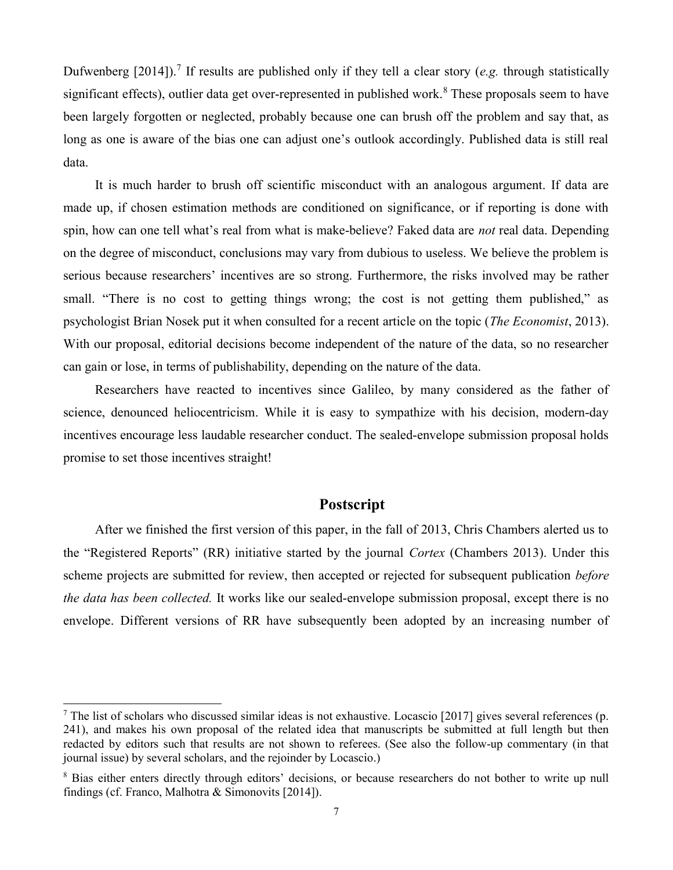Dufwenberg  $[2014]$ ).<sup>7</sup> If results are published only if they tell a clear story (e.g. through statistically significant effects), outlier data get over-represented in published work.<sup>8</sup> These proposals seem to have been largely forgotten or neglected, probably because one can brush off the problem and say that, as long as one is aware of the bias one can adjust one's outlook accordingly. Published data is still real data.

It is much harder to brush off scientific misconduct with an analogous argument. If data are made up, if chosen estimation methods are conditioned on significance, or if reporting is done with spin, how can one tell what's real from what is make-believe? Faked data are *not* real data. Depending on the degree of misconduct, conclusions may vary from dubious to useless. We believe the problem is serious because researchers' incentives are so strong. Furthermore, the risks involved may be rather small. "There is no cost to getting things wrong; the cost is not getting them published," as psychologist Brian Nosek put it when consulted for a recent article on the topic (The Economist, 2013). With our proposal, editorial decisions become independent of the nature of the data, so no researcher can gain or lose, in terms of publishability, depending on the nature of the data.

Researchers have reacted to incentives since Galileo, by many considered as the father of science, denounced heliocentricism. While it is easy to sympathize with his decision, modern-day incentives encourage less laudable researcher conduct. The sealed-envelope submission proposal holds promise to set those incentives straight!

#### Postscript

After we finished the first version of this paper, in the fall of 2013, Chris Chambers alerted us to the "Registered Reports" (RR) initiative started by the journal Cortex (Chambers 2013). Under this scheme projects are submitted for review, then accepted or rejected for subsequent publication before the data has been collected. It works like our sealed-envelope submission proposal, except there is no envelope. Different versions of RR have subsequently been adopted by an increasing number of

-

<sup>&</sup>lt;sup>7</sup> The list of scholars who discussed similar ideas is not exhaustive. Locascio [2017] gives several references (p. 241), and makes his own proposal of the related idea that manuscripts be submitted at full length but then redacted by editors such that results are not shown to referees. (See also the follow-up commentary (in that journal issue) by several scholars, and the rejoinder by Locascio.)

<sup>&</sup>lt;sup>8</sup> Bias either enters directly through editors' decisions, or because researchers do not bother to write up null findings (cf. Franco, Malhotra & Simonovits [2014]).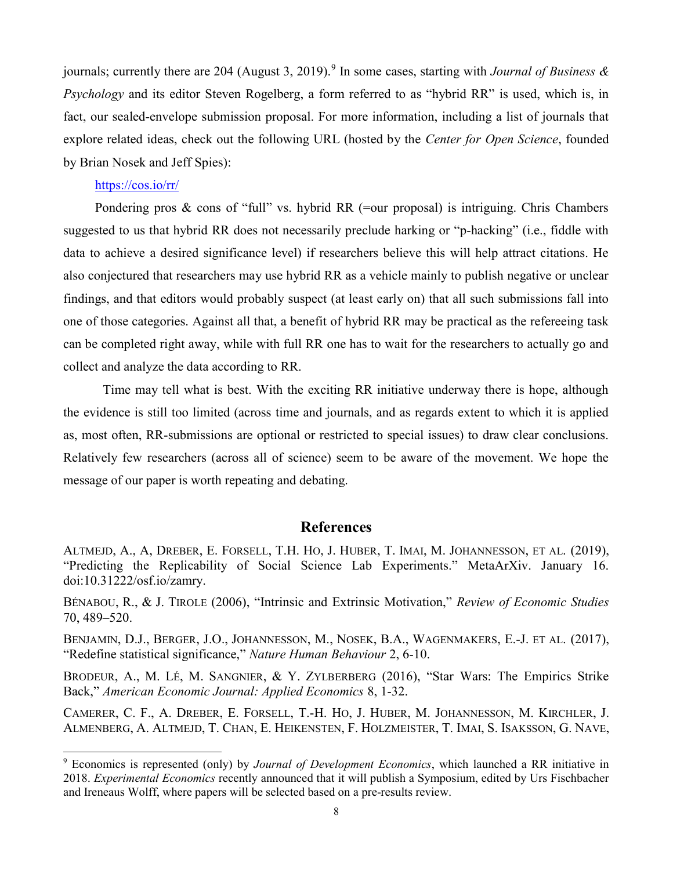journals; currently there are 204 (August 3, 2019).<sup>9</sup> In some cases, starting with *Journal of Business &* Psychology and its editor Steven Rogelberg, a form referred to as "hybrid RR" is used, which is, in fact, our sealed-envelope submission proposal. For more information, including a list of journals that explore related ideas, check out the following URL (hosted by the Center for Open Science, founded by Brian Nosek and Jeff Spies):

#### https://cos.io/rr/

-

Pondering pros & cons of "full" vs. hybrid RR (=our proposal) is intriguing. Chris Chambers suggested to us that hybrid RR does not necessarily preclude harking or "p-hacking" (i.e., fiddle with data to achieve a desired significance level) if researchers believe this will help attract citations. He also conjectured that researchers may use hybrid RR as a vehicle mainly to publish negative or unclear findings, and that editors would probably suspect (at least early on) that all such submissions fall into one of those categories. Against all that, a benefit of hybrid RR may be practical as the refereeing task can be completed right away, while with full RR one has to wait for the researchers to actually go and collect and analyze the data according to RR.

 Time may tell what is best. With the exciting RR initiative underway there is hope, although the evidence is still too limited (across time and journals, and as regards extent to which it is applied as, most often, RR-submissions are optional or restricted to special issues) to draw clear conclusions. Relatively few researchers (across all of science) seem to be aware of the movement. We hope the message of our paper is worth repeating and debating.

### References

ALTMEJD, A., A, DREBER, E. FORSELL, T.H. HO, J. HUBER, T. IMAI, M. JOHANNESSON, ET AL. (2019), "Predicting the Replicability of Social Science Lab Experiments." MetaArXiv. January 16. doi:10.31222/osf.io/zamry.

BÉNABOU, R., & J. TIROLE (2006), "Intrinsic and Extrinsic Motivation," Review of Economic Studies 70, 489–520.

BENJAMIN, D.J., BERGER, J.O., JOHANNESSON, M., NOSEK, B.A., WAGENMAKERS, E.-J. ET AL. (2017), "Redefine statistical significance," Nature Human Behaviour 2, 6-10.

BRODEUR, A., M. LÉ, M. SANGNIER, & Y. ZYLBERBERG (2016), "Star Wars: The Empirics Strike Back," American Economic Journal: Applied Economics 8, 1-32.

CAMERER, C. F., A. DREBER, E. FORSELL, T.-H. HO, J. HUBER, M. JOHANNESSON, M. KIRCHLER, J. ALMENBERG, A. ALTMEJD, T. CHAN, E. HEIKENSTEN, F. HOLZMEISTER, T. IMAI, S. ISAKSSON, G. NAVE,

<sup>&</sup>lt;sup>9</sup> Economics is represented (only) by Journal of Development Economics, which launched a RR initiative in 2018. Experimental Economics recently announced that it will publish a Symposium, edited by Urs Fischbacher and Ireneaus Wolff, where papers will be selected based on a pre-results review.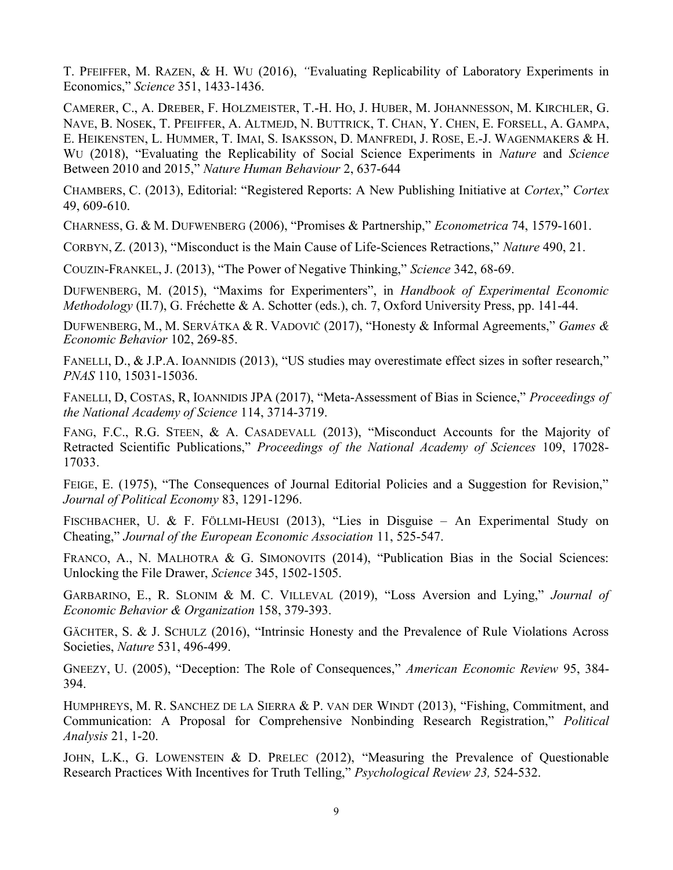T. PFEIFFER, M. RAZEN, & H. WU (2016), "Evaluating Replicability of Laboratory Experiments in Economics," Science 351, 1433-1436.

CAMERER, C., A. DREBER, F. HOLZMEISTER, T.-H. HO, J. HUBER, M. JOHANNESSON, M. KIRCHLER, G. NAVE, B. NOSEK, T. PFEIFFER, A. ALTMEJD, N. BUTTRICK, T. CHAN, Y. CHEN, E. FORSELL, A. GAMPA, E. HEIKENSTEN, L. HUMMER, T. IMAI, S. ISAKSSON, D. MANFREDI, J. ROSE, E.-J. WAGENMAKERS & H. WU (2018), "Evaluating the Replicability of Social Science Experiments in *Nature* and *Science* Between 2010 and 2015," Nature Human Behaviour 2, 637-644

CHAMBERS, C. (2013), Editorial: "Registered Reports: A New Publishing Initiative at Cortex," Cortex 49, 609-610.

CHARNESS, G. & M. DUFWENBERG (2006), "Promises & Partnership," Econometrica 74, 1579-1601.

CORBYN, Z. (2013), "Misconduct is the Main Cause of Life-Sciences Retractions," Nature 490, 21.

COUZIN-FRANKEL, J. (2013), "The Power of Negative Thinking," Science 342, 68-69.

DUFWENBERG, M. (2015), "Maxims for Experimenters", in Handbook of Experimental Economic Methodology (II.7), G. Fréchette & A. Schotter (eds.), ch. 7, Oxford University Press, pp. 141-44.

DUFWENBERG, M., M. SERVÁTKA & R. VADOVIČ (2017), "Honesty & Informal Agreements," Games & Economic Behavior 102, 269-85.

FANELLI, D., & J.P.A. IOANNIDIS (2013), "US studies may overestimate effect sizes in softer research," PNAS 110, 15031-15036.

FANELLI, D, COSTAS, R, IOANNIDIS JPA (2017), "Meta-Assessment of Bias in Science," Proceedings of the National Academy of Science 114, 3714-3719.

FANG, F.C., R.G. STEEN, & A. CASADEVALL (2013), "Misconduct Accounts for the Majority of Retracted Scientific Publications," Proceedings of the National Academy of Sciences 109, 17028- 17033.

FEIGE, E. (1975), "The Consequences of Journal Editorial Policies and a Suggestion for Revision," Journal of Political Economy 83, 1291-1296.

FISCHBACHER, U. & F. FÖLLMI-HEUSI (2013), "Lies in Disguise – An Experimental Study on Cheating," Journal of the European Economic Association 11, 525-547.

FRANCO, A., N. MALHOTRA & G. SIMONOVITS (2014), "Publication Bias in the Social Sciences: Unlocking the File Drawer, Science 345, 1502-1505.

GARBARINO, E., R. SLONIM & M. C. VILLEVAL (2019), "Loss Aversion and Lying," Journal of Economic Behavior & Organization 158, 379-393.

GÄCHTER, S. & J. SCHULZ (2016), "Intrinsic Honesty and the Prevalence of Rule Violations Across Societies, Nature 531, 496-499.

GNEEZY, U. (2005), "Deception: The Role of Consequences," American Economic Review 95, 384- 394.

HUMPHREYS, M. R. SANCHEZ DE LA SIERRA & P. VAN DER WINDT (2013), "Fishing, Commitment, and Communication: A Proposal for Comprehensive Nonbinding Research Registration," Political Analysis 21, 1-20.

JOHN, L.K., G. LOWENSTEIN & D. PRELEC (2012), "Measuring the Prevalence of Questionable Research Practices With Incentives for Truth Telling," Psychological Review 23, 524-532.